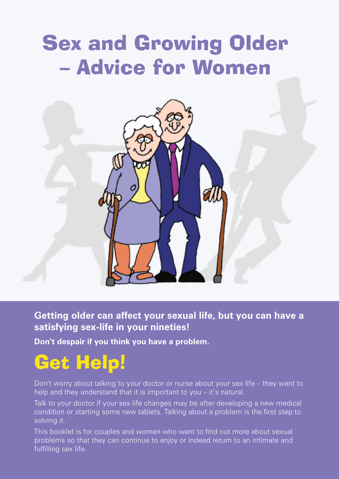# Sex and Growing Older – Advice for Women



**Getting older can affect your sexual life, but you can have a satisfying sex-life in your nineties!**

**Don't despair if you think you have a problem.**

## Get Help!

Don't worry about talking to your doctor or nurse about your sex life – they want to help and they understand that it is important to you – it's natural.

Talk to your doctor if your sex life changes may be after developing a new medical condition or starting some new tablets. Talking about a problem is the first step to solving it.

This booklet is for couples and women who want to find out more about sexual problems so that they can continue to enjoy or indeed return to an intimate and fulfilling sex life.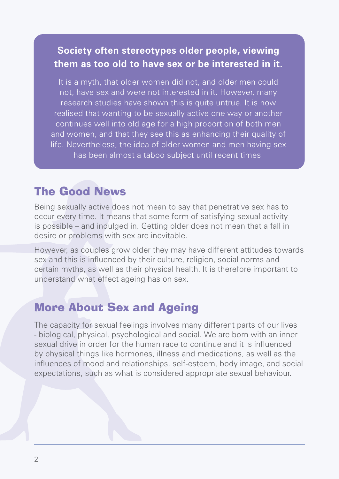### **Society often stereotypes older people, viewing them as too old to have sex or be interested in it.**

It is a myth, that older women did not, and older men could not, have sex and were not interested in it. However, many research studies have shown this is quite untrue. It is now realised that wanting to be sexually active one way or another continues well into old age for a high proportion of both men and women, and that they see this as enhancing their quality of life. Nevertheless, the idea of older women and men having sex has been almost a taboo subject until recent times.

## The Good News

Being sexually active does not mean to say that penetrative sex has to occur every time. It means that some form of satisfying sexual activity is possible – and indulged in. Getting older does not mean that a fall in desire or problems with sex are inevitable.

However, as couples grow older they may have different attitudes towards sex and this is influenced by their culture, religion, social norms and certain myths, as well as their physical health. It is therefore important to understand what effect ageing has on sex.

## More About Sex and Ageing

The capacity for sexual feelings involves many different parts of our lives - biological, physical, psychological and social. We are born with an inner sexual drive in order for the human race to continue and it is influenced by physical things like hormones, illness and medications, as well as the influences of mood and relationships, self-esteem, body image, and social expectations, such as what is considered appropriate sexual behaviour.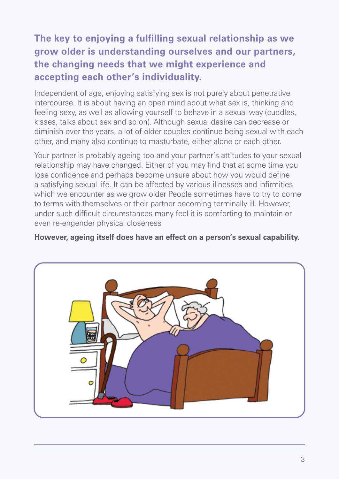## **The key to enjoying a fulfilling sexual relationship as we grow older is understanding ourselves and our partners, the changing needs that we might experience and accepting each other's individuality.**

Independent of age, enjoying satisfying sex is not purely about penetrative intercourse. It is about having an open mind about what sex is, thinking and feeling sexy, as well as allowing yourself to behave in a sexual way (cuddles, kisses, talks about sex and so on). Although sexual desire can decrease or diminish over the years, a lot of older couples continue being sexual with each other, and many also continue to masturbate, either alone or each other.

Your partner is probably ageing too and your partner's attitudes to your sexual relationship may have changed. Either of you may find that at some time you lose confidence and perhaps become unsure about how you would define a satisfying sexual life. It can be affected by various illnesses and infirmities which we encounter as we grow older People sometimes have to try to come to terms with themselves or their partner becoming terminally ill. However, under such difficult circumstances many feel it is comforting to maintain or even re-engender physical closeness

**However, ageing itself does have an effect on a person's sexual capability.**

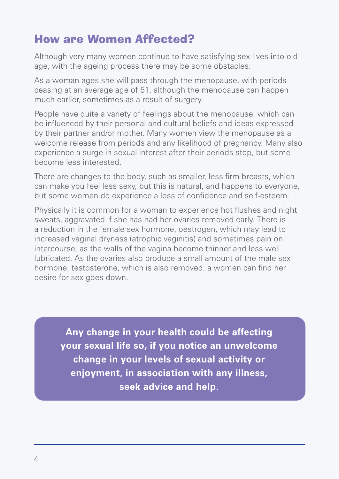## How are Women Affected?

Although very many women continue to have satisfying sex lives into old age, with the ageing process there may be some obstacles.

As a woman ages she will pass through the menopause, with periods ceasing at an average age of 51, although the menopause can happen much earlier, sometimes as a result of surgery.

People have quite a variety of feelings about the menopause, which can be influenced by their personal and cultural beliefs and ideas expressed by their partner and/or mother. Many women view the menopause as a welcome release from periods and any likelihood of pregnancy. Many also experience a surge in sexual interest after their periods stop, but some become less interested.

There are changes to the body, such as smaller, less firm breasts, which can make you feel less sexy, but this is natural, and happens to everyone, but some women do experience a loss of confidence and self-esteem.

Physically it is common for a woman to experience hot flushes and night sweats, aggravated if she has had her ovaries removed early. There is a reduction in the female sex hormone, oestrogen, which may lead to increased vaginal dryness (atrophic vaginitis) and sometimes pain on intercourse, as the walls of the vagina become thinner and less well lubricated. As the ovaries also produce a small amount of the male sex hormone, testosterone, which is also removed, a women can find her desire for sex goes down.

**Any change in your health could be affecting your sexual life so, if you notice an unwelcome change in your levels of sexual activity or enjoyment, in association with any illness, seek advice and help.**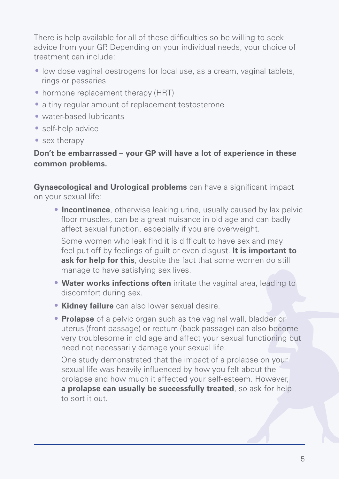There is help available for all of these difficulties so be willing to seek advice from your GP. Depending on your individual needs, your choice of treatment can include:

- low dose vaginal oestrogens for local use, as a cream, vaginal tablets, rings or pessaries
- **•** hormone replacement therapy (HRT)
- **•** a tiny regular amount of replacement testosterone
- **•** water-based lubricants
- **•** self-help advice
- **•** sex therapy

#### **Don't be embarrassed – your GP will have a lot of experience in these common problems.**

**Gynaecological and Urological problems** can have a significant impact on your sexual life:

**• Incontinence**, otherwise leaking urine, usually caused by lax pelvic floor muscles, can be a great nuisance in old age and can badly affect sexual function, especially if you are overweight.

Some women who leak find it is difficult to have sex and may feel put off by feelings of guilt or even disgust. **It is important to ask for help for this**, despite the fact that some women do still manage to have satisfying sex lives.

- **Water works infections often** irritate the vaginal area, leading to discomfort during sex.
- **Kidney failure** can also lower sexual desire.
- **Prolapse** of a pelvic organ such as the vaginal wall, bladder or uterus (front passage) or rectum (back passage) can also become very troublesome in old age and affect your sexual functioning but need not necessarily damage your sexual life.

One study demonstrated that the impact of a prolapse on your sexual life was heavily influenced by how you felt about the prolapse and how much it affected your self-esteem. However, **a prolapse can usually be successfully treated**, so ask for help to sort it out.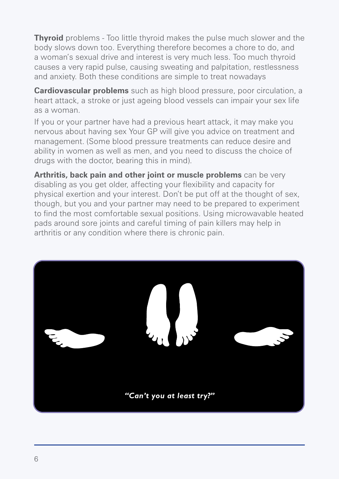**Thyroid** problems - Too little thyroid makes the pulse much slower and the body slows down too. Everything therefore becomes a chore to do, and a woman's sexual drive and interest is very much less. Too much thyroid causes a very rapid pulse, causing sweating and palpitation, restlessness and anxiety. Both these conditions are simple to treat nowadays

**Cardiovascular problems** such as high blood pressure, poor circulation, a heart attack, a stroke or just ageing blood vessels can impair your sex life as a woman.

If you or your partner have had a previous heart attack, it may make you nervous about having sex Your GP will give you advice on treatment and management. (Some blood pressure treatments can reduce desire and ability in women as well as men, and you need to discuss the choice of drugs with the doctor, bearing this in mind).

**Arthritis, back pain and other joint or muscle problems** can be very disabling as you get older, affecting your flexibility and capacity for physical exertion and your interest. Don't be put off at the thought of sex, though, but you and your partner may need to be prepared to experiment to find the most comfortable sexual positions. Using microwavable heated pads around sore joints and careful timing of pain killers may help in arthritis or any condition where there is chronic pain.

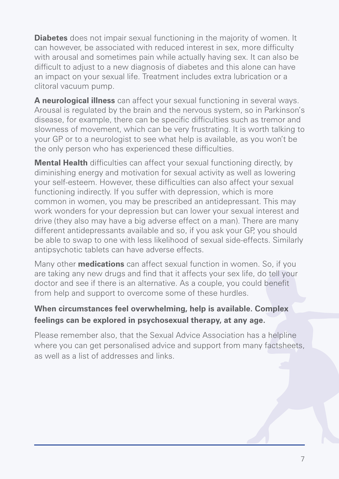**Diabetes** does not impair sexual functioning in the majority of women. It can however, be associated with reduced interest in sex, more difficulty with arousal and sometimes pain while actually having sex. It can also be difficult to adjust to a new diagnosis of diabetes and this alone can have an impact on your sexual life. Treatment includes extra lubrication or a clitoral vacuum pump.

**A neurological illness** can affect your sexual functioning in several ways. Arousal is regulated by the brain and the nervous system, so in Parkinson's disease, for example, there can be specific difficulties such as tremor and slowness of movement, which can be very frustrating. It is worth talking to your GP or to a neurologist to see what help is available, as you won't be the only person who has experienced these difficulties.

**Mental Health** difficulties can affect your sexual functioning directly, by diminishing energy and motivation for sexual activity as well as lowering your self-esteem. However, these difficulties can also affect your sexual functioning indirectly. If you suffer with depression, which is more common in women, you may be prescribed an antidepressant. This may work wonders for your depression but can lower your sexual interest and drive (they also may have a big adverse effect on a man). There are many different antidepressants available and so, if you ask your GP, you should be able to swap to one with less likelihood of sexual side-effects. Similarly antipsychotic tablets can have adverse effects.

Many other **medications** can affect sexual function in women. So, if you are taking any new drugs and find that it affects your sex life, do tell your doctor and see if there is an alternative. As a couple, you could benefit from help and support to overcome some of these hurdles.

#### **When circumstances feel overwhelming, help is available. Complex feelings can be explored in psychosexual therapy, at any age.**

Please remember also, that the Sexual Advice Association has a helpline where you can get personalised advice and support from many factsheets, as well as a list of addresses and links.